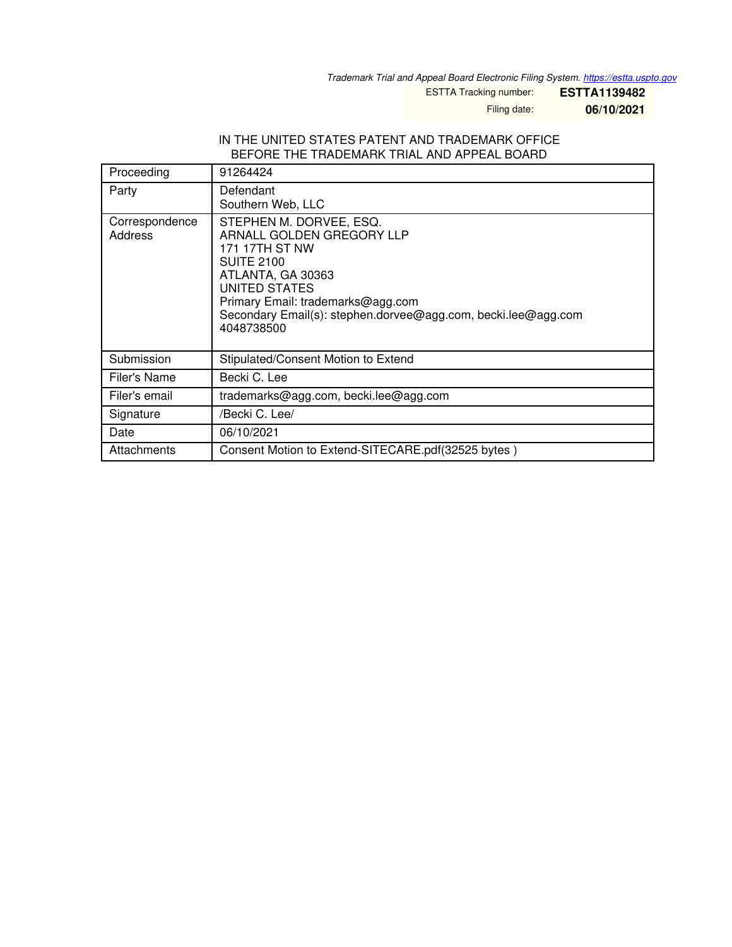*Trademark Trial and Appeal Board Electronic Filing System. <https://estta.uspto.gov>*

ESTTA Tracking number: **ESTTA1139482**

Filing date: **06/10/2021**

#### IN THE UNITED STATES PATENT AND TRADEMARK OFFICE BEFORE THE TRADEMARK TRIAL AND APPEAL BOARD

| Proceeding                | 91264424                                                                                                                                                                                                                                              |
|---------------------------|-------------------------------------------------------------------------------------------------------------------------------------------------------------------------------------------------------------------------------------------------------|
| Party                     | Defendant<br>Southern Web, LLC                                                                                                                                                                                                                        |
| Correspondence<br>Address | STEPHEN M. DORVEE, ESQ.<br>ARNALL GOLDEN GREGORY LLP<br>171 17TH ST NW<br><b>SUITE 2100</b><br>ATLANTA, GA 30363<br>UNITED STATES<br>Primary Email: trademarks@agg.com<br>Secondary Email(s): stephen.dorvee@agg.com, becki.lee@agg.com<br>4048738500 |
| Submission                | Stipulated/Consent Motion to Extend                                                                                                                                                                                                                   |
| Filer's Name              | Becki C. Lee                                                                                                                                                                                                                                          |
| Filer's email             | trademarks@agg.com, becki.lee@agg.com                                                                                                                                                                                                                 |
| Signature                 | /Becki C. Lee/                                                                                                                                                                                                                                        |
| Date                      | 06/10/2021                                                                                                                                                                                                                                            |
| Attachments               | Consent Motion to Extend-SITECARE.pdf(32525 bytes)                                                                                                                                                                                                    |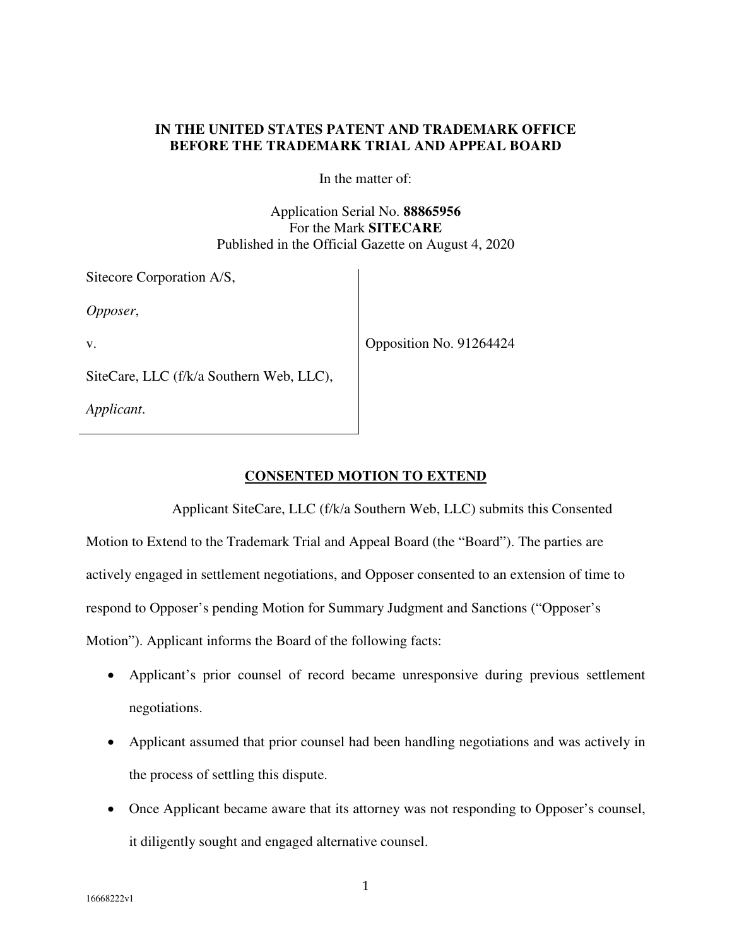#### **IN THE UNITED STATES PATENT AND TRADEMARK OFFICE BEFORE THE TRADEMARK TRIAL AND APPEAL BOARD**

In the matter of:

Application Serial No. **88865956** For the Mark **SITECARE**  Published in the Official Gazette on August 4, 2020

| Sitecore Corporation A/S,                |                         |
|------------------------------------------|-------------------------|
| Opposer,                                 |                         |
| V.                                       | Opposition No. 91264424 |
| SiteCare, LLC (f/k/a Southern Web, LLC), |                         |
| Applicant.                               |                         |

### **CONSENTED MOTION TO EXTEND**

Applicant SiteCare, LLC (f/k/a Southern Web, LLC) submits this Consented Motion to Extend to the Trademark Trial and Appeal Board (the "Board"). The parties are actively engaged in settlement negotiations, and Opposer consented to an extension of time to respond to Opposer's pending Motion for Summary Judgment and Sanctions ("Opposer's Motion"). Applicant informs the Board of the following facts:

- Applicant's prior counsel of record became unresponsive during previous settlement negotiations.
- Applicant assumed that prior counsel had been handling negotiations and was actively in the process of settling this dispute.
- Once Applicant became aware that its attorney was not responding to Opposer's counsel, it diligently sought and engaged alternative counsel.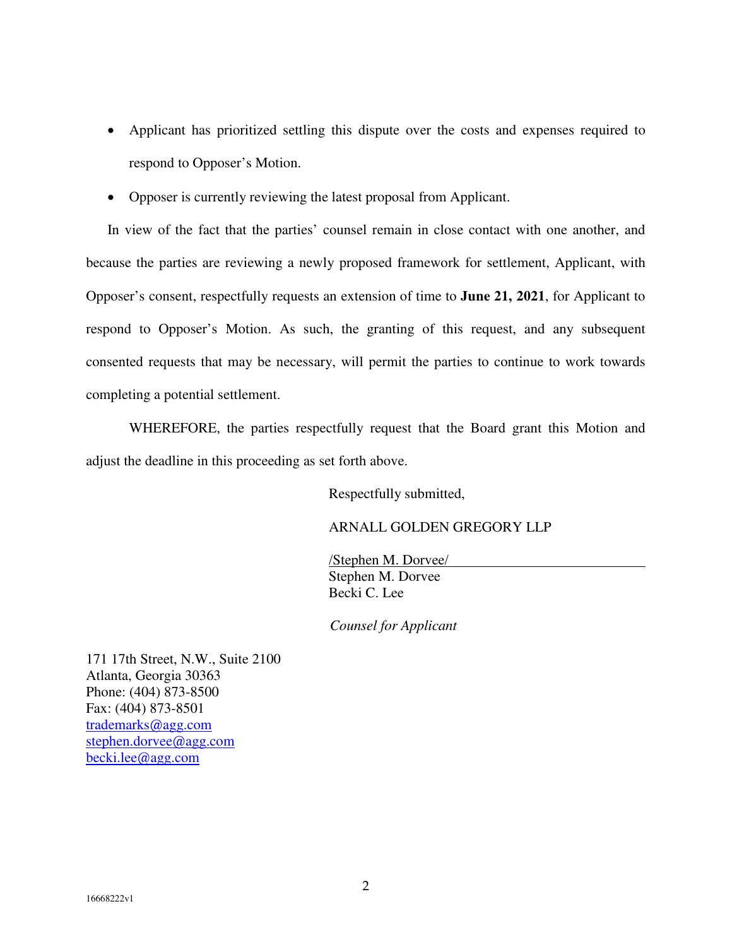- Applicant has prioritized settling this dispute over the costs and expenses required to respond to Opposer's Motion.
- Opposer is currently reviewing the latest proposal from Applicant.

In view of the fact that the parties' counsel remain in close contact with one another, and because the parties are reviewing a newly proposed framework for settlement, Applicant, with Opposer's consent, respectfully requests an extension of time to **June 21, 2021**, for Applicant to respond to Opposer's Motion. As such, the granting of this request, and any subsequent consented requests that may be necessary, will permit the parties to continue to work towards completing a potential settlement.

WHEREFORE, the parties respectfully request that the Board grant this Motion and adjust the deadline in this proceeding as set forth above.

Respectfully submitted,

## ARNALL GOLDEN GREGORY LLP

/Stephen M. Dorvee/ Stephen M. Dorvee Becki C. Lee

*Counsel for Applicant* 

171 17th Street, N.W., Suite 2100 Atlanta, Georgia 30363 Phone: (404) 873-8500 Fax: (404) 873-8501 trademarks@agg.com stephen.dorvee@agg.com becki.lee@agg.com